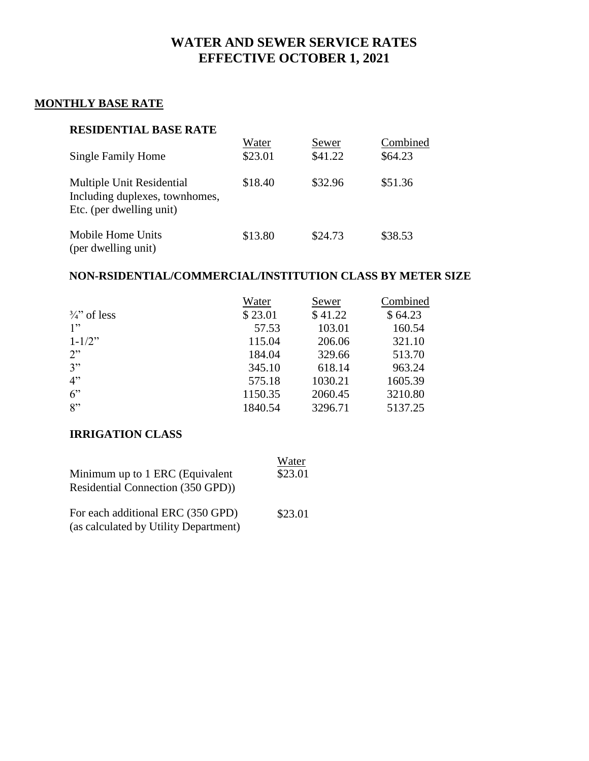# **WATER AND SEWER SERVICE RATES EFFECTIVE OCTOBER 1, 2021**

# **MONTHLY BASE RATE**

#### **RESIDENTIAL BASE RATE**

| <b>Single Family Home</b>                                                               | Water<br>\$23.01 | Sewer<br>\$41.22 | Combined<br>\$64.23 |
|-----------------------------------------------------------------------------------------|------------------|------------------|---------------------|
| Multiple Unit Residential<br>Including duplexes, townhomes,<br>Etc. (per dwelling unit) | \$18.40          | \$32.96          | \$51.36             |
| Mobile Home Units<br>(per dwelling unit)                                                | \$13.80          | \$24.73          | \$38.53             |

# **NON-RSIDENTIAL/COMMERCIAL/INSTITUTION CLASS BY METER SIZE**

|                       | Water   | Sewer   | Combined |
|-----------------------|---------|---------|----------|
| $\frac{3}{4}$ of less | \$23.01 | \$41.22 | \$64.23  |
| 1"                    | 57.53   | 103.01  | 160.54   |
| $1 - 1/2$ "           | 115.04  | 206.06  | 321.10   |
| 2"                    | 184.04  | 329.66  | 513.70   |
| 3"                    | 345.10  | 618.14  | 963.24   |
| 4"                    | 575.18  | 1030.21 | 1605.39  |
| 6"                    | 1150.35 | 2060.45 | 3210.80  |
| 8"                    | 1840.54 | 3296.71 | 5137.25  |

# **IRRIGATION CLASS**

| Minimum up to 1 ERC (Equivalent                                            | Water   |
|----------------------------------------------------------------------------|---------|
| Residential Connection (350 GPD))                                          | \$23.01 |
| For each additional ERC (350 GPD)<br>(as calculated by Utility Department) | \$23.01 |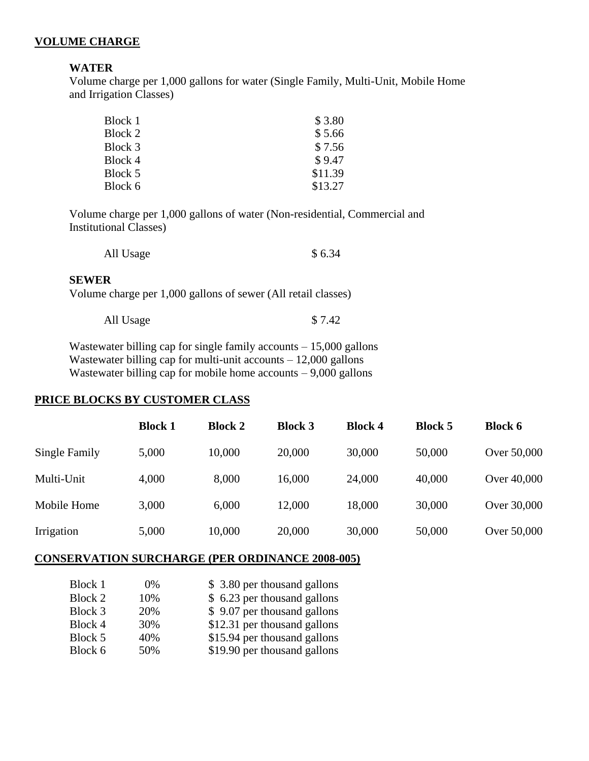#### **VOLUME CHARGE**

#### **WATER**

Volume charge per 1,000 gallons for water (Single Family, Multi-Unit, Mobile Home and Irrigation Classes)

| Block 1 | \$3.80  |
|---------|---------|
| Block 2 | \$5.66  |
| Block 3 | \$7.56  |
| Block 4 | \$9.47  |
| Block 5 | \$11.39 |
| Block 6 | \$13.27 |

Volume charge per 1,000 gallons of water (Non-residential, Commercial and Institutional Classes)

| All Usage | \$6.34 |
|-----------|--------|
|           |        |

#### **SEWER**

Volume charge per 1,000 gallons of sewer (All retail classes)

| All Usage | \$7.42 |
|-----------|--------|
|-----------|--------|

Wastewater billing cap for single family accounts – 15,000 gallons Wastewater billing cap for multi-unit accounts – 12,000 gallons Wastewater billing cap for mobile home accounts  $-9,000$  gallons

#### **PRICE BLOCKS BY CUSTOMER CLASS**

|               | <b>Block 1</b> | <b>Block 2</b> | <b>Block 3</b> | <b>Block 4</b> | <b>Block 5</b> | <b>Block 6</b> |
|---------------|----------------|----------------|----------------|----------------|----------------|----------------|
| Single Family | 5,000          | 10,000         | 20,000         | 30,000         | 50,000         | Over 50,000    |
| Multi-Unit    | 4,000          | 8,000          | 16,000         | 24,000         | 40,000         | Over 40,000    |
| Mobile Home   | 3,000          | 6,000          | 12,000         | 18,000         | 30,000         | Over 30,000    |
| Irrigation    | 5,000          | 10,000         | 20,000         | 30,000         | 50,000         | Over 50,000    |

#### **CONSERVATION SURCHARGE (PER ORDINANCE 2008-005)**

| Block 1 | $0\%$ | \$3.80 per thousand gallons  |
|---------|-------|------------------------------|
| Block 2 | 10%   | \$ 6.23 per thousand gallons |
| Block 3 | 20%   | \$9.07 per thousand gallons  |
| Block 4 | 30%   | \$12.31 per thousand gallons |
| Block 5 | 40%   | \$15.94 per thousand gallons |
| Block 6 | 50%   | \$19.90 per thousand gallons |